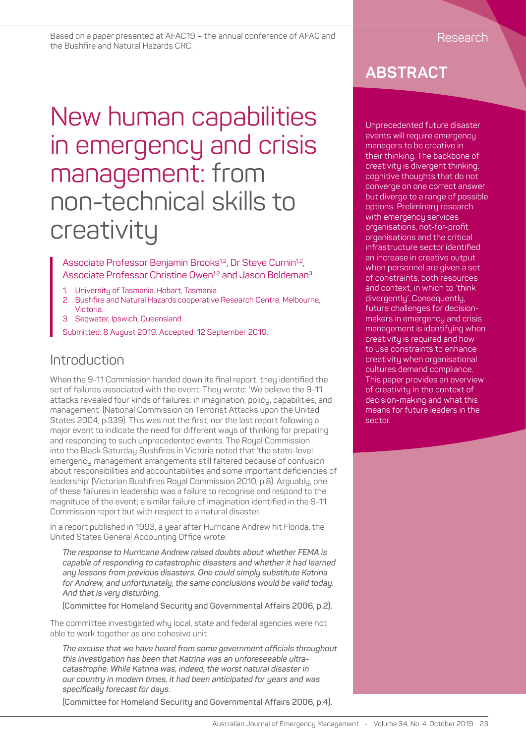Based on a paper presented at AFAC19 – the annual conference of AFAC and Research Research the Bushfire and Natural Hazards CRC.

# New human capabilities in emergency and crisis management: from non-technical skills to creativity

Associate Professor Benjamin Brooks<sup>1,2</sup>, Dr Steve Curnin<sup>1,2</sup>, Associate Professor Christine Owen<sup>1,2</sup> and Jason Boldeman<sup>3</sup>

- 1. University of Tasmania, Hobart, Tasmania.
- 2. Bushfire and Natural Hazards cooperative Research Centre, Melbourne, Victoria.
- 3. Seqwater, Ipswich, Queensland.
- Submitted: 8 August 2019. Accepted: 12 September 2019.

#### Introduction

When the 9-11 Commission handed down its final report, they identified the set of failures associated with the event. They wrote: 'We believe the 9-11 attacks revealed four kinds of failures: in imagination, policy, capabilities, and management' (National Commission on Terrorist Attacks upon the United States 2004, p.339). This was not the first, nor the last report following a major event to indicate the need for different ways of thinking for preparing and responding to such unprecedented events. The Royal Commission into the Black Saturday Bushfires in Victoria noted that 'the state-level emergency management arrangements still faltered because of confusion about responsibilities and accountabilities and some important deficiencies of leadership' (Victorian Bushfires Royal Commission 2010, p.8). Arguably, one of these failures in leadership was a failure to recognise and respond to the magnitude of the event; a similar failure of imagination identified in the 9-11 Commission report but with respect to a natural disaster.

In a report published in 1993, a year after Hurricane Andrew hit Florida, the United States General Accounting Office wrote:

*The response to Hurricane Andrew raised doubts about whether FEMA is capable of responding to catastrophic disasters and whether it had learned any lessons from previous disasters. One could simply substitute Katrina for Andrew, and unfortunately, the same conclusions would be valid today. And that is very disturbing.* 

**(Committee for Homeland Security and Governmental Affairs 2006, p.2).** 

The committee investigated why local, state and federal agencies were not able to work together as one cohesive unit.

*The excuse that we have heard from some government officials throughout this investigation has been that Katrina was an unforeseeable ultracatastrophe. While Katrina was, indeed, the worst natural disaster in our country in modern times, it had been anticipated for years and was specifically forecast for days.*

**(Committee for Homeland Security and Governmental Affairs 2006, p.4).** 

# **ABSTRACT**

Unprecedented future disaster events will require emergency managers to be creative in their thinking. The backbone of creativity is divergent thinking; cognitive thoughts that do not converge on one correct answer but diverge to a range of possible options. Preliminary research with emergency services organisations, not-for-profit organisations and the critical infrastructure sector identified an increase in creative output when personnel are given a set of constraints, both resources and context, in which to 'think divergently'. Consequently, future challenges for decisionmakers in emergency and crisis management is identifying when creativity is required and how to use constraints to enhance creativity when organisational cultures demand compliance. This paper provides an overview of creativity in the context of decision-making and what this means for future leaders in the sector.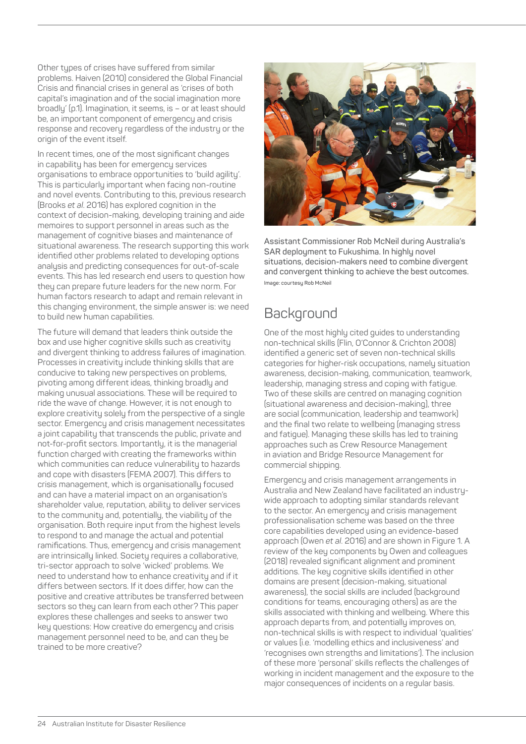Other types of crises have suffered from similar problems. Haiven (2010) considered the Global Financial Crisis and financial crises in general as 'crises of both capital's imagination and of the social imagination more broadly' (p.1). Imagination, it seems, is – or at least should be, an important component of emergency and crisis response and recovery regardless of the industry or the origin of the event itself.

In recent times, one of the most significant changes in capability has been for emergency services organisations to embrace opportunities to 'build agility'. This is particularly important when facing non-routine and novel events. Contributing to this, previous research (Brooks *et al*. 2016) has explored cognition in the context of decision-making, developing training and aide memoires to support personnel in areas such as the management of cognitive biases and maintenance of situational awareness. The research supporting this work identified other problems related to developing options analysis and predicting consequences for out-of-scale events. This has led research end users to question how they can prepare future leaders for the new norm. For human factors research to adapt and remain relevant in this changing environment, the simple answer is: we need to build new human capabilities.

The future will demand that leaders think outside the box and use higher cognitive skills such as creativity and divergent thinking to address failures of imagination. Processes in creativity include thinking skills that are conducive to taking new perspectives on problems, pivoting among different ideas, thinking broadly and making unusual associations. These will be required to ride the wave of change. However, it is not enough to explore creativity solely from the perspective of a single sector. Emergency and crisis management necessitates a joint capability that transcends the public, private and not-for-profit sectors. Importantly, it is the managerial function charged with creating the frameworks within which communities can reduce vulnerability to hazards and cope with disasters (FEMA 2007). This differs to crisis management, which is organisationally focused and can have a material impact on an organisation's shareholder value, reputation, ability to deliver services to the community and, potentially, the viability of the organisation. Both require input from the highest levels to respond to and manage the actual and potential ramifications. Thus, emergency and crisis management are intrinsically linked. Society requires a collaborative, tri-sector approach to solve 'wicked' problems. We need to understand how to enhance creativity and if it differs between sectors. If it does differ, how can the positive and creative attributes be transferred between sectors so they can learn from each other? This paper explores these challenges and seeks to answer two key questions: How creative do emergency and crisis management personnel need to be, and can they be trained to be more creative?



**Assistant Commissioner Rob McNeil during Australia's SAR deployment to Fukushima. In highly novel situations, decision-makers need to combine divergent and convergent thinking to achieve the best outcomes. Image: courtesy Rob McNeil** 

# **Background**

One of the most highly cited guides to understanding non-technical skills (Flin, O'Connor & Crichton 2008) identified a generic set of seven non-technical skills categories for higher-risk occupations, namely situation awareness, decision-making, communication, teamwork, leadership, managing stress and coping with fatigue. Two of these skills are centred on managing cognition (situational awareness and decision-making), three are social (communication, leadership and teamwork) and the final two relate to wellbeing (managing stress and fatigue). Managing these skills has led to training approaches such as Crew Resource Management in aviation and Bridge Resource Management for commercial shipping.

Emergency and crisis management arrangements in Australia and New Zealand have facilitated an industrywide approach to adopting similar standards relevant to the sector. An emergency and crisis management professionalisation scheme was based on the three core capabilities developed using an evidence-based approach (Owen *et al*. 2016) and are shown in Figure 1. A review of the key components by Owen and colleagues (2018) revealed significant alignment and prominent additions. The key cognitive skills identified in other domains are present (decision-making, situational awareness), the social skills are included (background conditions for teams, encouraging others) as are the skills associated with thinking and wellbeing. Where this approach departs from, and potentially improves on, non-technical skills is with respect to individual 'qualities' or values (i.e. 'modelling ethics and inclusiveness' and 'recognises own strengths and limitations'). The inclusion of these more 'personal' skills reflects the challenges of working in incident management and the exposure to the major consequences of incidents on a regular basis.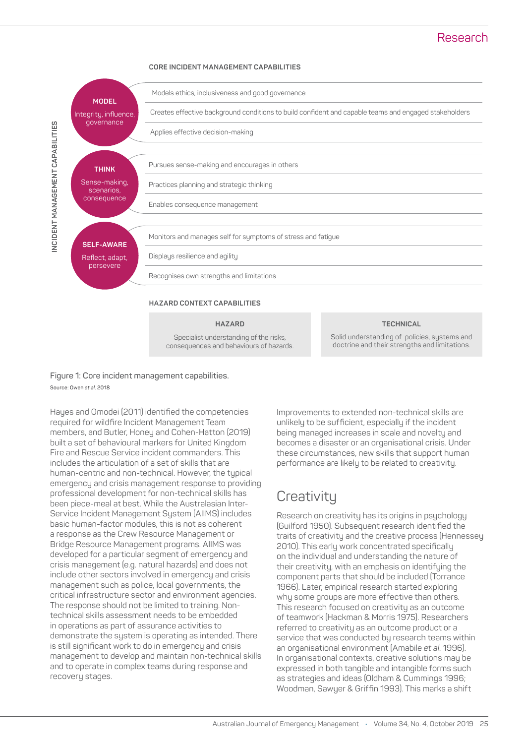#### Research

#### **CORE INCIDENT MANAGEMENT CAPABILITIES**



**Figure 1: Core incident management capabilities. Source: Owen** *et al***. 2018**

Hayes and Omodei (2011) identified the competencies required for wildfire Incident Management Team members, and Butler, Honey and Cohen-Hatton (2019) built a set of behavioural markers for United Kingdom Fire and Rescue Service incident commanders. This includes the articulation of a set of skills that are human-centric and non-technical. However, the typical emergency and crisis management response to providing professional development for non-technical skills has been piece-meal at best. While the Australasian Inter-Service Incident Management System (AIIMS) includes basic human-factor modules, this is not as coherent a response as the Crew Resource Management or Bridge Resource Management programs. AIIMS was developed for a particular segment of emergency and crisis management (e.g. natural hazards) and does not include other sectors involved in emergency and crisis management such as police, local governments, the critical infrastructure sector and environment agencies. The response should not be limited to training. Nontechnical skills assessment needs to be embedded in operations as part of assurance activities to demonstrate the system is operating as intended. There is still significant work to do in emergency and crisis management to develop and maintain non-technical skills and to operate in complex teams during response and recovery stages.

Improvements to extended non-technical skills are unlikely to be sufficient, especially if the incident being managed increases in scale and novelty and becomes a disaster or an organisational crisis. Under these circumstances, new skills that support human performance are likely to be related to creativity.

# **Creativity**

Research on creativity has its origins in psychology (Guilford 1950). Subsequent research identified the traits of creativity and the creative process (Hennessey 2010). This early work concentrated specifically on the individual and understanding the nature of their creativity, with an emphasis on identifying the component parts that should be included (Torrance 1966). Later, empirical research started exploring why some groups are more effective than others. This research focused on creativity as an outcome of teamwork (Hackman & Morris 1975). Researchers referred to creativity as an outcome product or a service that was conducted by research teams within an organisational environment (Amabile *et al*. 1996). In organisational contexts, creative solutions may be expressed in both tangible and intangible forms such as strategies and ideas (Oldham & Cummings 1996; Woodman, Sawyer & Griffin 1993). This marks a shift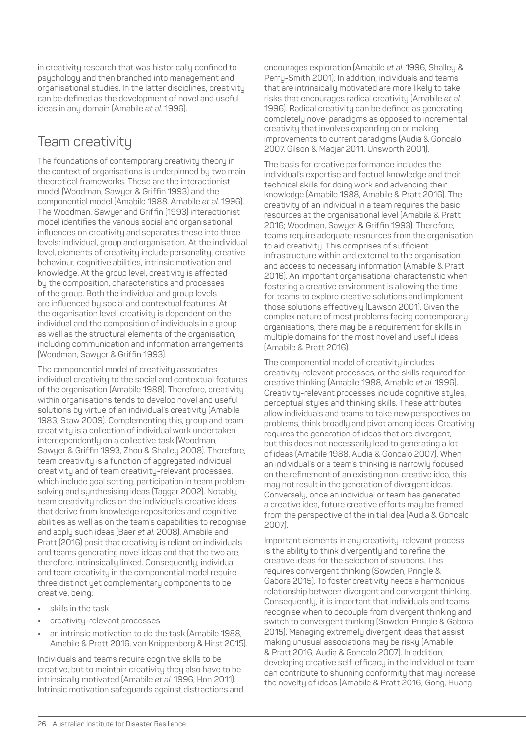in creativity research that was historically confined to psychology and then branched into management and organisational studies. In the latter disciplines, creativity can be defined as the development of novel and useful ideas in any domain (Amabile *et al*. 1996).

### Team creativity

The foundations of contemporary creativity theory in the context of organisations is underpinned by two main theoretical frameworks. These are the interactionist model (Woodman, Sawyer & Griffin 1993) and the componential model (Amabile 1988, Amabile *et al*. 1996). The Woodman, Sawyer and Griffin (1993) interactionist model identifies the various social and organisational influences on creativity and separates these into three levels: individual, group and organisation. At the individual level, elements of creativity include personality, creative behaviour, cognitive abilities, intrinsic motivation and knowledge. At the group level, creativity is affected by the composition, characteristics and processes of the group. Both the individual and group levels are influenced by social and contextual features. At the organisation level, creativity is dependent on the individual and the composition of individuals in a group as well as the structural elements of the organisation, including communication and information arrangements (Woodman, Sawyer & Griffin 1993).

The componential model of creativity associates individual creativity to the social and contextual features of the organisation (Amabile 1988). Therefore, creativity within organisations tends to develop novel and useful solutions by virtue of an individual's creativity (Amabile 1983, Staw 2009). Complementing this, group and team creativity is a collection of individual work undertaken interdependently on a collective task (Woodman, Sawyer & Griffin 1993, Zhou & Shalley 2008). Therefore, team creativity is a function of aggregated individual creativity and of team creativity-relevant processes, which include goal setting, participation in team problemsolving and synthesising ideas (Taggar 2002). Notably, team creativity relies on the individual's creative ideas that derive from knowledge repositories and cognitive abilities as well as on the team's capabilities to recognise and apply such ideas (Baer *et al*. 2008). Amabile and Pratt (2016) posit that creativity is reliant on individuals and teams generating novel ideas and that the two are, therefore, intrinsically linked. Consequently, individual and team creativity in the componential model require three distinct yet complementary components to be creative, being:

- **•** skills in the task
- **•** creativity-relevant processes
- **•** an intrinsic motivation to do the task (Amabile 1988, Amabile & Pratt 2016, van Knippenberg & Hirst 2015).

Individuals and teams require cognitive skills to be creative, but to maintain creativity they also have to be intrinsically motivated (Amabile *et al.* 1996, Hon 2011). Intrinsic motivation safeguards against distractions and encourages exploration (Amabile *et al*. 1996, Shalley & Perry-Smith 2001). In addition, individuals and teams that are intrinsically motivated are more likely to take risks that encourages radical creativity (Amabile *et al.* 1996). Radical creativity can be defined as generating completely novel paradigms as opposed to incremental creativity that involves expanding on or making improvements to current paradigms (Audia & Goncalo 2007, Gilson & Madjar 2011, Unsworth 2001).

The basis for creative performance includes the individual's expertise and factual knowledge and their technical skills for doing work and advancing their knowledge (Amabile 1988, Amabile & Pratt 2016). The creativity of an individual in a team requires the basic resources at the organisational level (Amabile & Pratt 2016; Woodman, Sawyer & Griffin 1993). Therefore, teams require adequate resources from the organisation to aid creativity. This comprises of sufficient infrastructure within and external to the organisation and access to necessary information (Amabile & Pratt 2016). An important organisational characteristic when fostering a creative environment is allowing the time for teams to explore creative solutions and implement those solutions effectively (Lawson 2001). Given the complex nature of most problems facing contemporary organisations, there may be a requirement for skills in multiple domains for the most novel and useful ideas (Amabile & Pratt 2016).

The componential model of creativity includes creativity-relevant processes, or the skills required for creative thinking (Amabile 1988, Amabile *et al*. 1996). Creativity-relevant processes include cognitive styles, perceptual styles and thinking skills. These attributes allow individuals and teams to take new perspectives on problems, think broadly and pivot among ideas. Creativity requires the generation of ideas that are divergent, but this does not necessarily lead to generating a lot of ideas (Amabile 1988, Audia & Goncalo 2007). When an individual's or a team's thinking is narrowly focused on the refinement of an existing non-creative idea, this may not result in the generation of divergent ideas. Conversely, once an individual or team has generated a creative idea, future creative efforts may be framed from the perspective of the initial idea (Audia & Goncalo 2007).

Important elements in any creativity-relevant process is the ability to think divergently and to refine the creative ideas for the selection of solutions. This requires convergent thinking (Sowden, Pringle & Gabora 2015). To foster creativity needs a harmonious relationship between divergent and convergent thinking. Consequently, it is important that individuals and teams recognise when to decouple from divergent thinking and switch to convergent thinking (Sowden, Pringle & Gabora 2015). Managing extremely divergent ideas that assist making unusual associations may be risky (Amabile & Pratt 2016, Audia & Goncalo 2007). In addition, developing creative self-efficacy in the individual or team can contribute to shunning conformity that may increase the novelty of ideas (Amabile & Pratt 2016; Gong, Huang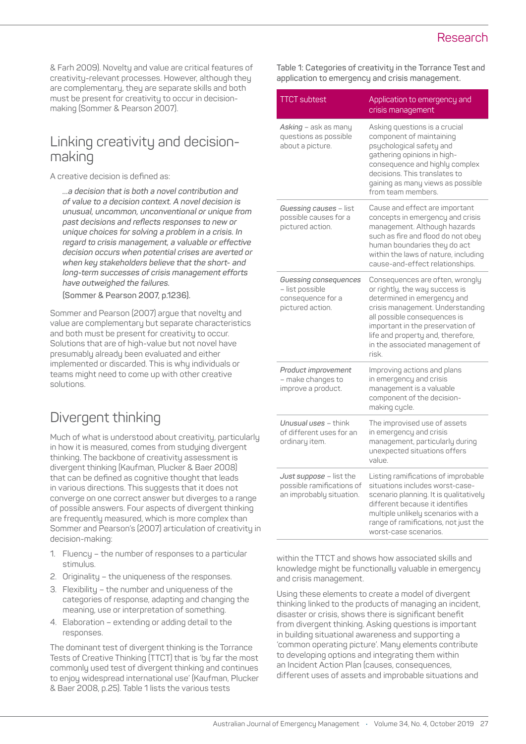& Farh 2009). Novelty and value are critical features of creativity-relevant processes. However, although they are complementary, they are separate skills and both must be present for creativity to occur in decisionmaking (Sommer & Pearson 2007).

#### Linking creativity and decisionmaking

A creative decision is defined as:

*…a decision that is both a novel contribution and of value to a decision context. A novel decision is unusual, uncommon, unconventional or unique from past decisions and reflects responses to new or unique choices for solving a problem in a crisis. In regard to crisis management, a valuable or effective decision occurs when potential crises are averted or when key stakeholders believe that the short- and long-term successes of crisis management efforts have outweighed the failures.* 

**(Sommer & Pearson 2007, p.1236).**

Sommer and Pearson (2007) argue that novelty and value are complementary but separate characteristics and both must be present for creativity to occur. Solutions that are of high-value but not novel have presumably already been evaluated and either implemented or discarded. This is why individuals or teams might need to come up with other creative solutions.

# Divergent thinking

Much of what is understood about creativity, particularly in how it is measured, comes from studying divergent thinking. The backbone of creativity assessment is divergent thinking (Kaufman, Plucker & Baer 2008) that can be defined as cognitive thought that leads in various directions. This suggests that it does not converge on one correct answer but diverges to a range of possible answers. Four aspects of divergent thinking are frequently measured, which is more complex than Sommer and Pearson's (2007) articulation of creativity in decision-making:

- 1. Fluency the number of responses to a particular stimulus.
- 2. Originality the uniqueness of the responses.
- 3. Flexibility the number and uniqueness of the categories of response, adapting and changing the meaning, use or interpretation of something.
- 4. Elaboration extending or adding detail to the responses.

The dominant test of divergent thinking is the Torrance Tests of Creative Thinking (TTCT) that is 'by far the most commonly used test of divergent thinking and continues to enjoy widespread international use' (Kaufman, Plucker & Baer 2008, p.25). Table 1 lists the various tests

**Table 1: Categories of creativity in the Torrance Test and application to emergency and crisis management.** 

| <b>TTCT</b> subtest                                                               | Application to emergency and<br>crisis management                                                                                                                                                                                                                                         |
|-----------------------------------------------------------------------------------|-------------------------------------------------------------------------------------------------------------------------------------------------------------------------------------------------------------------------------------------------------------------------------------------|
| Asking - ask as many<br>questions as possible<br>about a picture.                 | Asking questions is a crucial<br>component of maintaining<br>psychological safety and<br>gathering opinions in high-<br>consequence and highly complex<br>decisions. This translates to<br>gaining as many views as possible<br>from team members.                                        |
| Guessing causes - list<br>possible causes for a<br>pictured action.               | Cause and effect are important<br>concepts in emergency and crisis<br>management. Although hazards<br>such as fire and flood do not obey<br>human boundaries they do act<br>within the laws of nature, including<br>cause-and-effect relationships.                                       |
| Guessing consequences<br>- list possible<br>consequence for a<br>pictured action. | Consequences are often, wrongly<br>or rightly, the way success is<br>determined in emergency and<br>crisis management. Understanding<br>all possible consequences is<br>important in the preservation of<br>life and property and, therefore,<br>in the associated management of<br>risk. |
| Product improvement<br>- make changes to<br>improve a product.                    | Improving actions and plans<br>in emergency and crisis<br>management is a valuable<br>component of the decision-<br>making cycle.                                                                                                                                                         |
| Unusual uses - think<br>of different uses for an<br>ordinary item.                | The improvised use of assets<br>in emergency and crisis<br>management, particularly during<br>unexpected situations offers<br>value.                                                                                                                                                      |
| Just suppose - list the<br>possible ramifications of<br>an improbably situation.  | Listing ramifications of improbable<br>situations includes worst-case-<br>scenario planning. It is qualitatively<br>different because it identifies<br>multiple unlikely scenarios with a<br>range of ramifications, not just the<br>worst-case scenarios.                                |

within the TTCT and shows how associated skills and knowledge might be functionally valuable in emergency and crisis management.

Using these elements to create a model of divergent thinking linked to the products of managing an incident, disaster or crisis, shows there is significant benefit from divergent thinking. Asking questions is important in building situational awareness and supporting a 'common operating picture'. Many elements contribute to developing options and integrating them within an Incident Action Plan (causes, consequences, different uses of assets and improbable situations and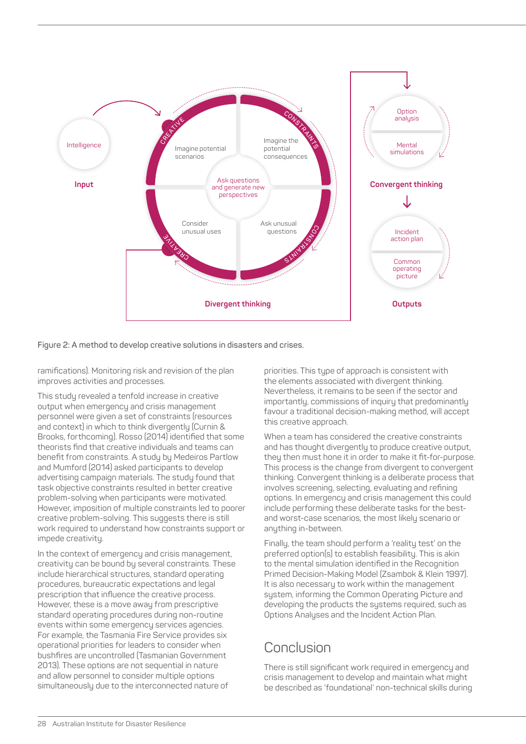

**Figure 2: A method to develop creative solutions in disasters and crises.** 

ramifications). Monitoring risk and revision of the plan improves activities and processes.

This study revealed a tenfold increase in creative output when emergency and crisis management personnel were given a set of constraints (resources and context) in which to think divergently (Curnin & Brooks, forthcoming). Rosso (2014) identified that some theorists find that creative individuals and teams can benefit from constraints. A study by Medeiros Partlow and Mumford (2014) asked participants to develop advertising campaign materials. The study found that task objective constraints resulted in better creative problem-solving when participants were motivated. However, imposition of multiple constraints led to poorer creative problem-solving. This suggests there is still work required to understand how constraints support or impede creativity.

In the context of emergency and crisis management, creativity can be bound by several constraints. These include hierarchical structures, standard operating procedures, bureaucratic expectations and legal prescription that influence the creative process. However, these is a move away from prescriptive standard operating procedures during non-routine events within some emergency services agencies. For example, the Tasmania Fire Service provides six operational priorities for leaders to consider when bushfires are uncontrolled (Tasmanian Government 2013). These options are not sequential in nature and allow personnel to consider multiple options simultaneously due to the interconnected nature of

priorities. This type of approach is consistent with the elements associated with divergent thinking. Nevertheless, it remains to be seen if the sector and importantly, commissions of inquiry that predominantly favour a traditional decision-making method, will accept this creative approach.

When a team has considered the creative constraints and has thought divergently to produce creative output, they then must hone it in order to make it fit-for-purpose. This process is the change from divergent to convergent thinking. Convergent thinking is a deliberate process that involves screening, selecting, evaluating and refining options. In emergency and crisis management this could include performing these deliberate tasks for the bestand worst-case scenarios, the most likely scenario or anything in-between.

Finally, the team should perform a 'reality test' on the preferred option(s) to establish feasibility. This is akin to the mental simulation identified in the Recognition Primed Decision-Making Model (Zsambok & Klein 1997). It is also necessary to work within the management system, informing the Common Operating Picture and developing the products the systems required, such as Options Analyses and the Incident Action Plan.

# Conclusion

There is still significant work required in emergency and crisis management to develop and maintain what might be described as 'foundational' non-technical skills during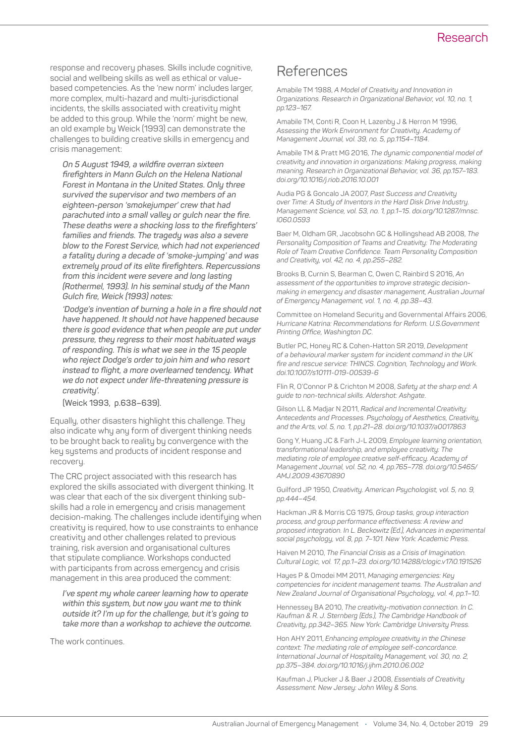#### Research

response and recovery phases. Skills include cognitive, social and wellbeing skills as well as ethical or valuebased competencies. As the 'new norm' includes larger, more complex, multi-hazard and multi-jurisdictional incidents, the skills associated with creativity might be added to this group. While the 'norm' might be new, an old example by Weick (1993) can demonstrate the challenges to building creative skills in emergency and crisis management:

*On 5 August 1949, a wildfire overran sixteen firefighters in Mann Gulch on the Helena National Forest in Montana in the United States. Only three survived the supervisor and two members of an eighteen-person 'smokejumper' crew that had parachuted into a small valley or gulch near the fire. These deaths were a shocking loss to the firefighters' families and friends. The tragedy was also a severe blow to the Forest Service, which had not experienced a fatality during a decade of 'smoke-jumping' and was extremely proud of its elite firefighters. Repercussions from this incident were severe and long lasting (Rothermel, 1993). In his seminal study of the Mann Gulch fire, Weick (1993) notes:*

*'Dodge's invention of burning a hole in a fire should not have happened. It should not have happened because there is good evidence that when people are put under pressure, they regress to their most habituated ways of responding. This is what we see in the 15 people who reject Dodge's order to join him and who resort instead to flight, a more overlearned tendency. What we do not expect under life-threatening pressure is creativity'.* 

#### **(Weick 1993, p.638–639).**

Equally, other disasters highlight this challenge. They also indicate why any form of divergent thinking needs to be brought back to reality by convergence with the key systems and products of incident response and recovery.

The CRC project associated with this research has explored the skills associated with divergent thinking. It was clear that each of the six divergent thinking subskills had a role in emergency and crisis management decision-making. The challenges include identifying when creativity is required, how to use constraints to enhance creativity and other challenges related to previous training, risk aversion and organisational cultures that stipulate compliance. Workshops conducted with participants from across emergency and crisis management in this area produced the comment:

*I've spent my whole career learning how to operate within this system, but now you want me to think outside it? I'm up for the challenge, but it's going to take more than a workshop to achieve the outcome.*

The work continues.

#### References

Amabile TM 1988, *A Model of Creativity and Innovation in Organizations. Research in Organizational Behavior, vol. 10, no. 1, pp.123–167*.

Amabile TM, Conti R, Coon H, Lazenby J & Herron M 1996, *Assessing the Work Environment for Creativity. Academy of Management Journal, vol. 39, no. 5, pp.1154–1184*.

Amabile TM & Pratt MG 2016, *The dynamic componential model of creativity and innovation in organizations: Making progress, making meaning. Research in Organizational Behavior, vol. 36, pp.157–183. doi.org/10.1016/j.riob.2016.10.001*

Audia PG & Goncalo JA 2007, *Past Success and Creativity over Time: A Study of Inventors in the Hard Disk Drive Industry. Management Science, vol. 53, no. 1, pp.1–15. doi.org/10.1287/mnsc. l060.0593*

Baer M, Oldham GR, Jacobsohn GC & Hollingshead AB 2008, *The Personality Composition of Teams and Creativity: The Moderating Role of Team Creative Confidence. Team Personality Composition and Creativity, vol. 42, no. 4, pp.255–282.*

Brooks B, Curnin S, Bearman C, Owen C, Rainbird S 2016, *An assessment of the opportunities to improve strategic decisionmaking in emergency and disaster management, Australian Journal of Emergency Management, vol. 1, no. 4, pp.38–43*.

Committee on Homeland Security and Governmental Affairs 2006, *Hurricane Katrina: Recommendations for Reform. U.S.Government Printing Office, Washington DC*.

Butler PC, Honey RC & Cohen-Hatton SR 2019, *Development of a behavioural marker system for incident command in the UK fire and rescue service: THINCS. Cognition, Technology and Work. doi.10.1007/s10111-019-00539-6*

Flin R, O'Connor P & Crichton M 2008, *Safety at the sharp end: A guide to non-technical skills. Aldershot: Ashgate*.

Gilson LL & Madjar N 2011, *Radical and Incremental Creativity: Antecedents and Processes. Psychology of Aesthetics, Creativity, and the Arts, vol. 5, no. 1, pp.21–28. doi.org/10.1037/a0017863*

Gong Y, Huang JC & Farh J-L 2009, *Employee learning orientation, transformational leadership, and employee creativity: The mediating role of employee creative self-efficacy. Academy of Management Journal, vol. 52, no. 4, pp.765–778. doi.org/10.5465/ AMJ.2009.43670890*

Guilford JP 1950, *Creativity. American Psychologist, vol. 5, no. 9, pp.444–454*.

Hackman JR & Morris CG 1975, *Group tasks, group interaction process, and group performance effectiveness: A review and proposed integration. In L. Beckowitz (Ed.), Advances in experimental social psychology, vol. 8, pp. 7–101. New York: Academic Press.*

Haiven M 2010, *The Financial Crisis as a Crisis of Imagination. Cultural Logic, vol. 17, pp.1–23. doi.org/10.14288/clogic.v17i0.191526*

Hayes P & Omodei MM 2011, *Managing emergencies: Key competencies for incident management teams. The Australian and New Zealand Journal of Organisational Psychology, vol. 4, pp.1–10.* 

Hennessey BA 2010, *The creativity-motivation connection. In C. Kaufman & R. J. Sternberg (Eds.), The Cambridge Handbook of Creativity, pp.342–365. New York: Cambridge University Press.*

Hon AHY 2011, *Enhancing employee creativity in the Chinese context: The mediating role of employee self-concordance. International Journal of Hospitality Management, vol. 30, no. 2, pp.375–384. doi.org/10.1016/j.ijhm.2010.06.002*

Kaufman J, Plucker J & Baer J 2008, *Essentials of Creativity Assessment. New Jersey: John Wiley & Sons.*